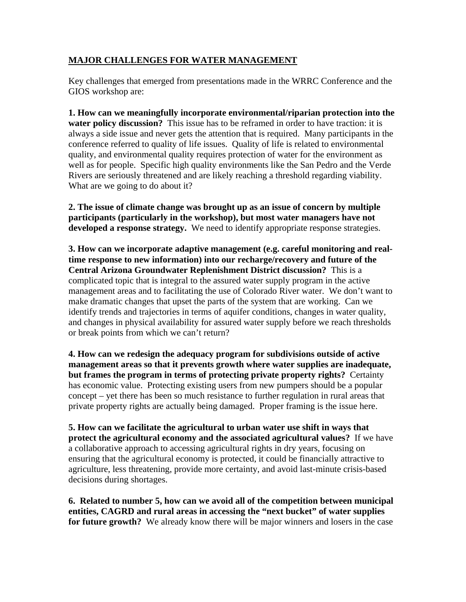## **MAJOR CHALLENGES FOR WATER MANAGEMENT**

Key challenges that emerged from presentations made in the WRRC Conference and the GIOS workshop are:

**1. How can we meaningfully incorporate environmental/riparian protection into the water policy discussion?** This issue has to be reframed in order to have traction: it is always a side issue and never gets the attention that is required. Many participants in the conference referred to quality of life issues. Quality of life is related to environmental quality, and environmental quality requires protection of water for the environment as well as for people. Specific high quality environments like the San Pedro and the Verde Rivers are seriously threatened and are likely reaching a threshold regarding viability. What are we going to do about it?

**2. The issue of climate change was brought up as an issue of concern by multiple participants (particularly in the workshop), but most water managers have not developed a response strategy.** We need to identify appropriate response strategies.

**3. How can we incorporate adaptive management (e.g. careful monitoring and realtime response to new information) into our recharge/recovery and future of the Central Arizona Groundwater Replenishment District discussion?** This is a complicated topic that is integral to the assured water supply program in the active management areas and to facilitating the use of Colorado River water. We don't want to make dramatic changes that upset the parts of the system that are working. Can we identify trends and trajectories in terms of aquifer conditions, changes in water quality, and changes in physical availability for assured water supply before we reach thresholds or break points from which we can't return?

**4. How can we redesign the adequacy program for subdivisions outside of active management areas so that it prevents growth where water supplies are inadequate, but frames the program in terms of protecting private property rights?** Certainty has economic value. Protecting existing users from new pumpers should be a popular concept – yet there has been so much resistance to further regulation in rural areas that private property rights are actually being damaged. Proper framing is the issue here.

**5. How can we facilitate the agricultural to urban water use shift in ways that protect the agricultural economy and the associated agricultural values?** If we have a collaborative approach to accessing agricultural rights in dry years, focusing on ensuring that the agricultural economy is protected, it could be financially attractive to agriculture, less threatening, provide more certainty, and avoid last-minute crisis-based decisions during shortages.

**6. Related to number 5, how can we avoid all of the competition between municipal entities, CAGRD and rural areas in accessing the "next bucket" of water supplies for future growth?** We already know there will be major winners and losers in the case